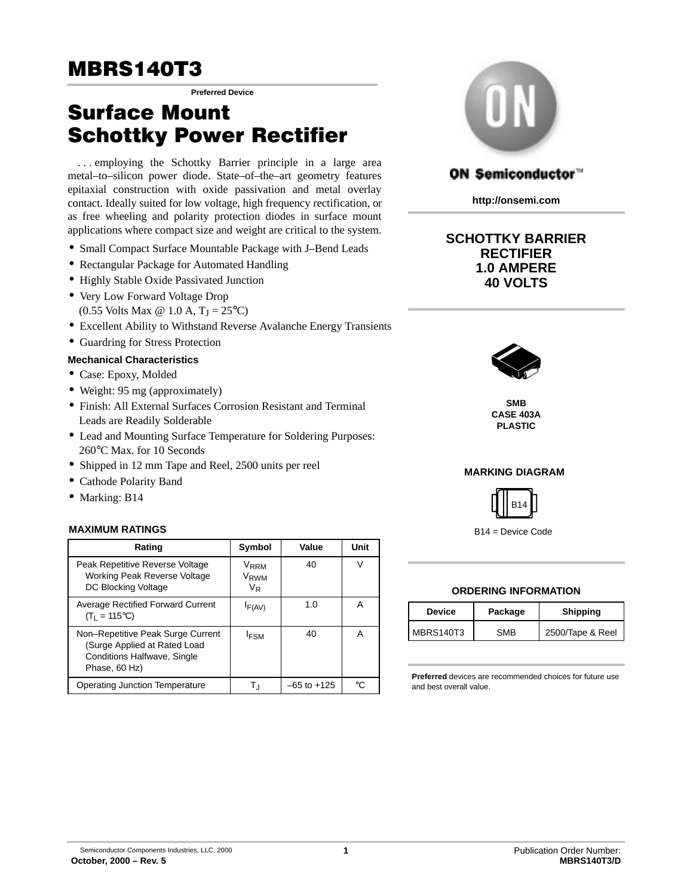**Preferred Device**

## Surface Mount Schottky Power Rectifier

... employing the Schottky Barrier principle in a large area metal–to–silicon power diode. State–of–the–art geometry features epitaxial construction with oxide passivation and metal overlay contact. Ideally suited for low voltage, high frequency rectification, or as free wheeling and polarity protection diodes in surface mount applications where compact size and weight are critical to the system.

- Small Compact Surface Mountable Package with J–Bend Leads
- Rectangular Package for Automated Handling
- Highly Stable Oxide Passivated Junction
- Very Low Forward Voltage Drop (0.55 Volts Max  $\omega$  1.0 A, T<sub>J</sub> = 25<sup>o</sup>C)
- Excellent Ability to Withstand Reverse Avalanche Energy Transients
- Guardring for Stress Protection

#### **Mechanical Characteristics**

- Case: Epoxy, Molded
- Weight: 95 mg (approximately)
- Finish: All External Surfaces Corrosion Resistant and Terminal Leads are Readily Solderable
- Lead and Mounting Surface Temperature for Soldering Purposes: 260°C Max. for 10 Seconds
- Shipped in 12 mm Tape and Reel, 2500 units per reel
- Cathode Polarity Band
- Marking: B14

#### **MAXIMUM RATINGS**

| Rating                                                                                                            | Symbol                                     | Value           | Unit      |
|-------------------------------------------------------------------------------------------------------------------|--------------------------------------------|-----------------|-----------|
| Peak Repetitive Reverse Voltage<br><b>Working Peak Reverse Voltage</b><br>DC Blocking Voltage                     | V <sub>RRM</sub><br>V <sub>RWM</sub><br>VR | 40              | $\sqrt{}$ |
| <b>Average Rectified Forward Current</b><br>$(T_1 = 115^{\circ}C)$                                                | $I_{F(AV)}$                                | 1.0             | А         |
| Non-Repetitive Peak Surge Current<br>(Surge Applied at Rated Load<br>Conditions Halfwave, Single<br>Phase, 60 Hz) | <b>IFSM</b>                                | 40              |           |
| Operating Junction Temperature                                                                                    | Tı                                         | $-65$ to $+125$ | ∘∩        |



### ON Semiconductor"

**http://onsemi.com**

#### **SCHOTTKY BARRIER RECTIFIER 1.0 AMPERE 40 VOLTS**



**SMB CASE 403A PLASTIC**

#### **MARKING DIAGRAM**



B14 = Device Code

#### **ORDERING INFORMATION**

| <b>Device</b>    | Package    | <b>Shipping</b>  |  |
|------------------|------------|------------------|--|
| <b>MBRS140T3</b> | <b>SMB</b> | 2500/Tape & Reel |  |

**Preferred** devices are recommended choices for future use and best overall value.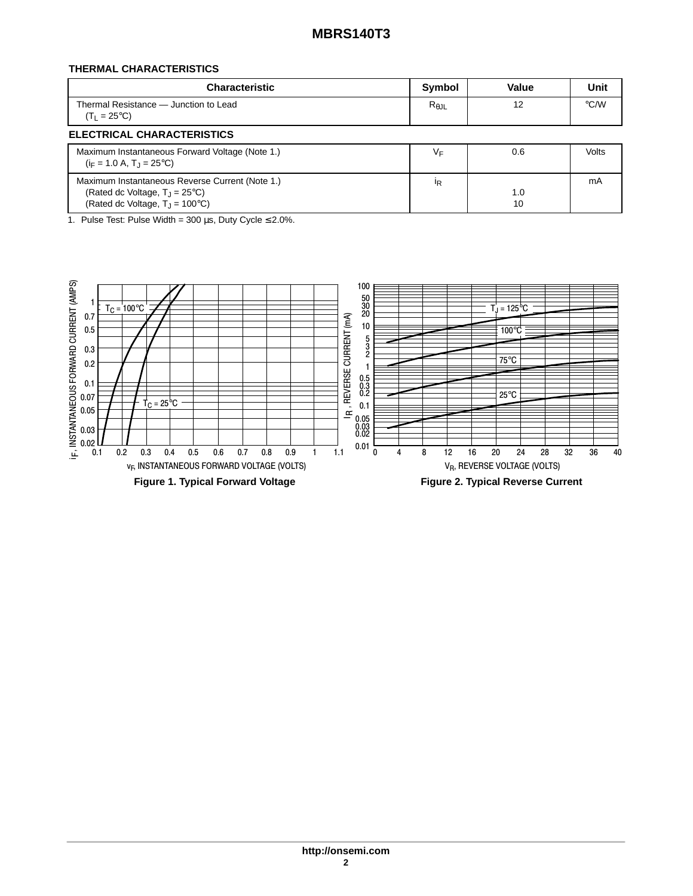#### **THERMAL CHARACTERISTICS**

| <b>Characteristic</b>                                                                                                                           | Symbol         | Value     | Unit               |
|-------------------------------------------------------------------------------------------------------------------------------------------------|----------------|-----------|--------------------|
| Thermal Resistance - Junction to Lead<br>$(T_1 = 25^{\circ}C)$                                                                                  | $R_{\theta$ JL | 12        | $\rm ^{\circ}$ C/W |
| <b>ELECTRICAL CHARACTERISTICS</b>                                                                                                               |                |           |                    |
| Maximum Instantaneous Forward Voltage (Note 1.)<br>$(i_F = 1.0 A, T_1 = 25^{\circ}C)$                                                           | ٧F             | 0.6       | Volts              |
| Maximum Instantaneous Reverse Current (Note 1.)<br>(Rated dc Voltage, $T_{\rm J}$ = 25°C)<br>(Rated dc Voltage, $T_{\rm J}$ = 100 $^{\circ}$ C) | <sup>I</sup> R | 1.0<br>10 | mA                 |

1. Pulse Test: Pulse Width =  $300 \,\mu s$ , Duty Cycle  $\leq 2.0\%$ .

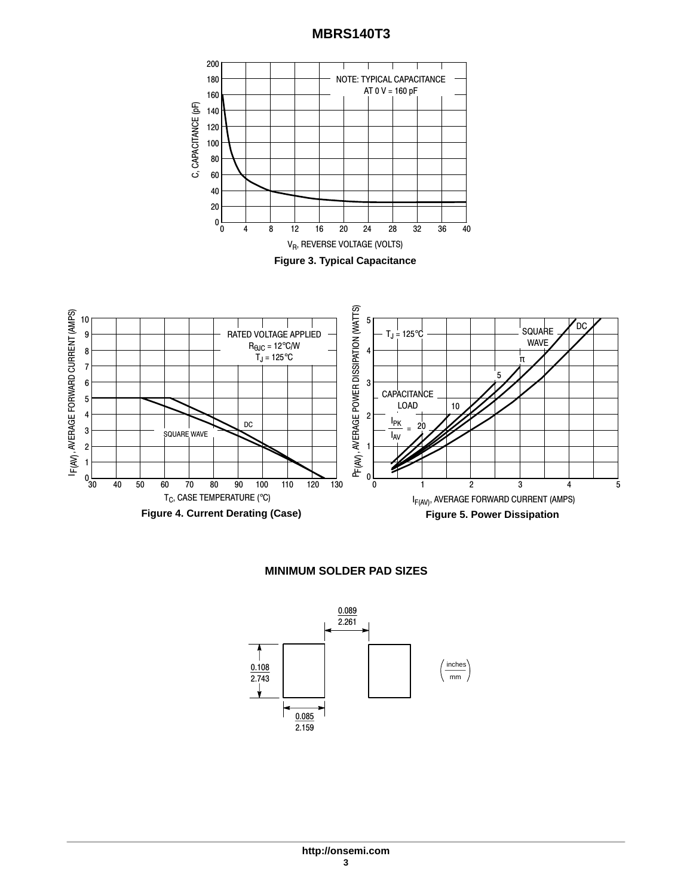

#### **MINIMUM SOLDER PAD SIZES**